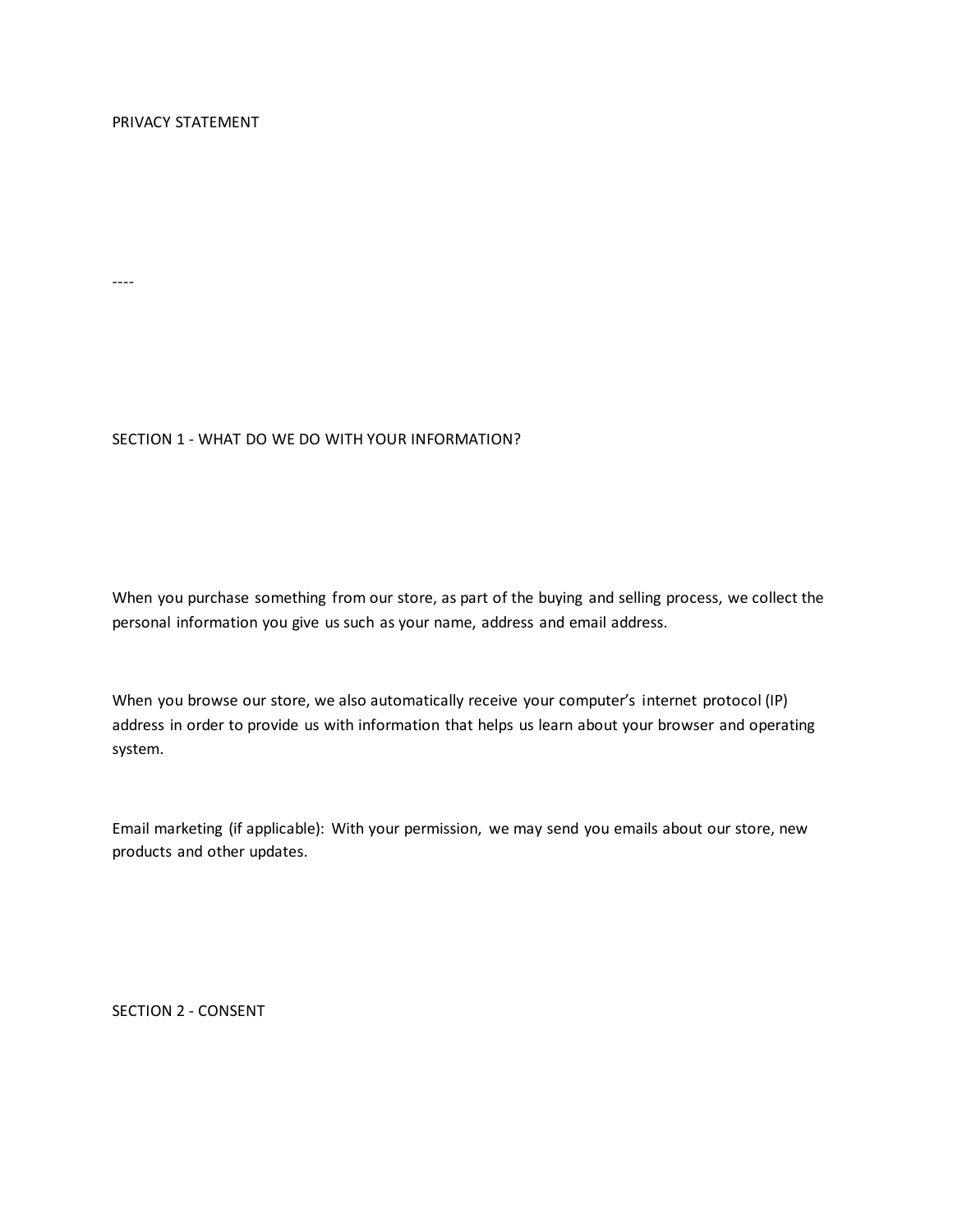----

## SECTION 1 - WHAT DO WE DO WITH YOUR INFORMATION?

When you purchase something from our store, as part of the buying and selling process, we collect the personal information you give us such as your name, address and email address.

When you browse our store, we also automatically receive your computer's internet protocol (IP) address in order to provide us with information that helps us learn about your browser and operating system.

Email marketing (if applicable): With your permission, we may send you emails about our store, new products and other updates.

SECTION 2 - CONSENT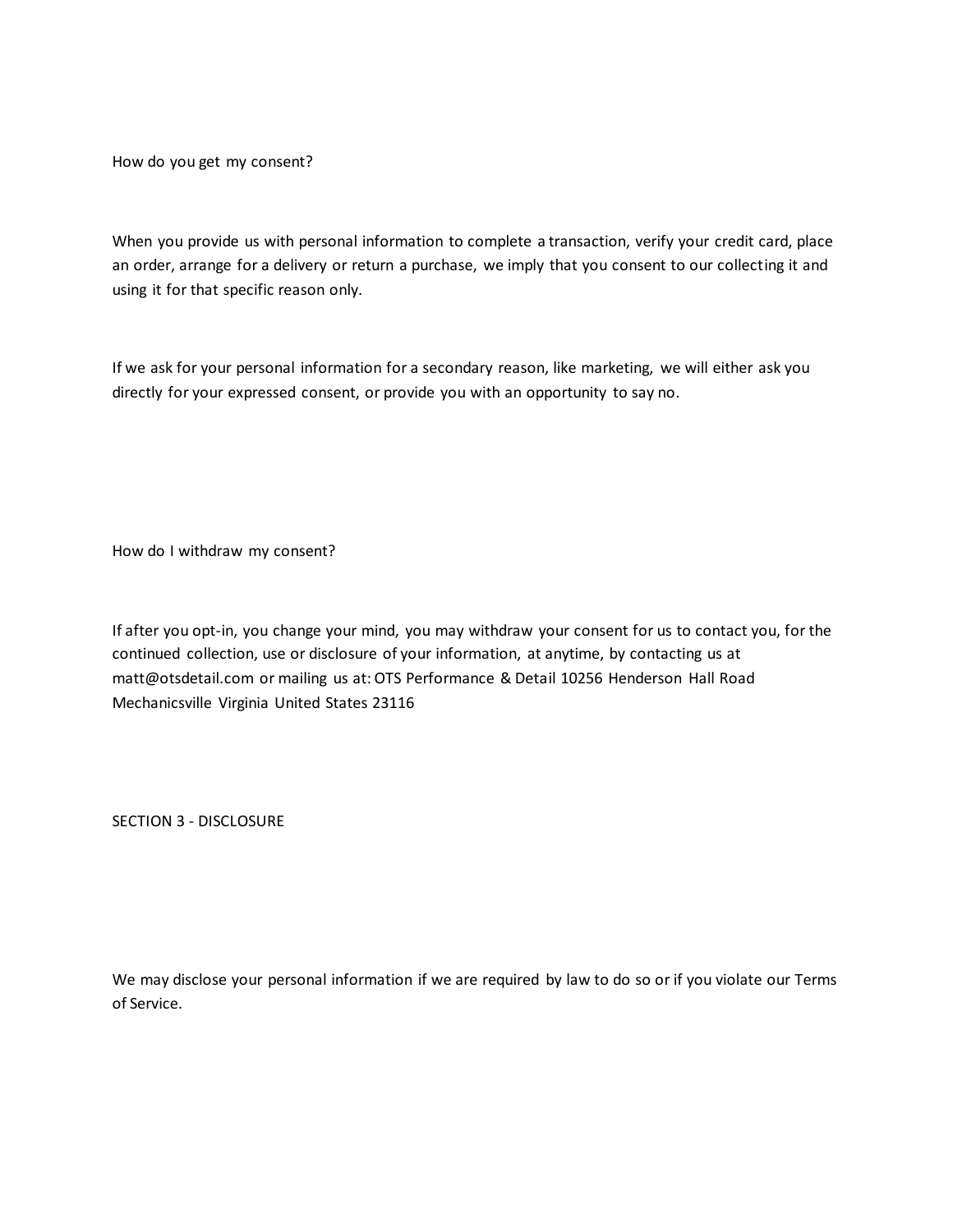How do you get my consent?

When you provide us with personal information to complete a transaction, verify your credit card, place an order, arrange for a delivery or return a purchase, we imply that you consent to our collecting it and using it for that specific reason only.

If we ask for your personal information for a secondary reason, like marketing, we will either ask you directly for your expressed consent, or provide you with an opportunity to say no.

How do I withdraw my consent?

If after you opt-in, you change your mind, you may withdraw your consent for us to contact you, for the continued collection, use or disclosure of your information, at anytime, by contacting us at matt@otsdetail.com or mailing us at: OTS Performance & Detail 10256 Henderson Hall Road Mechanicsville Virginia United States 23116

SECTION 3 - DISCLOSURE

We may disclose your personal information if we are required by law to do so or if you violate our Terms of Service.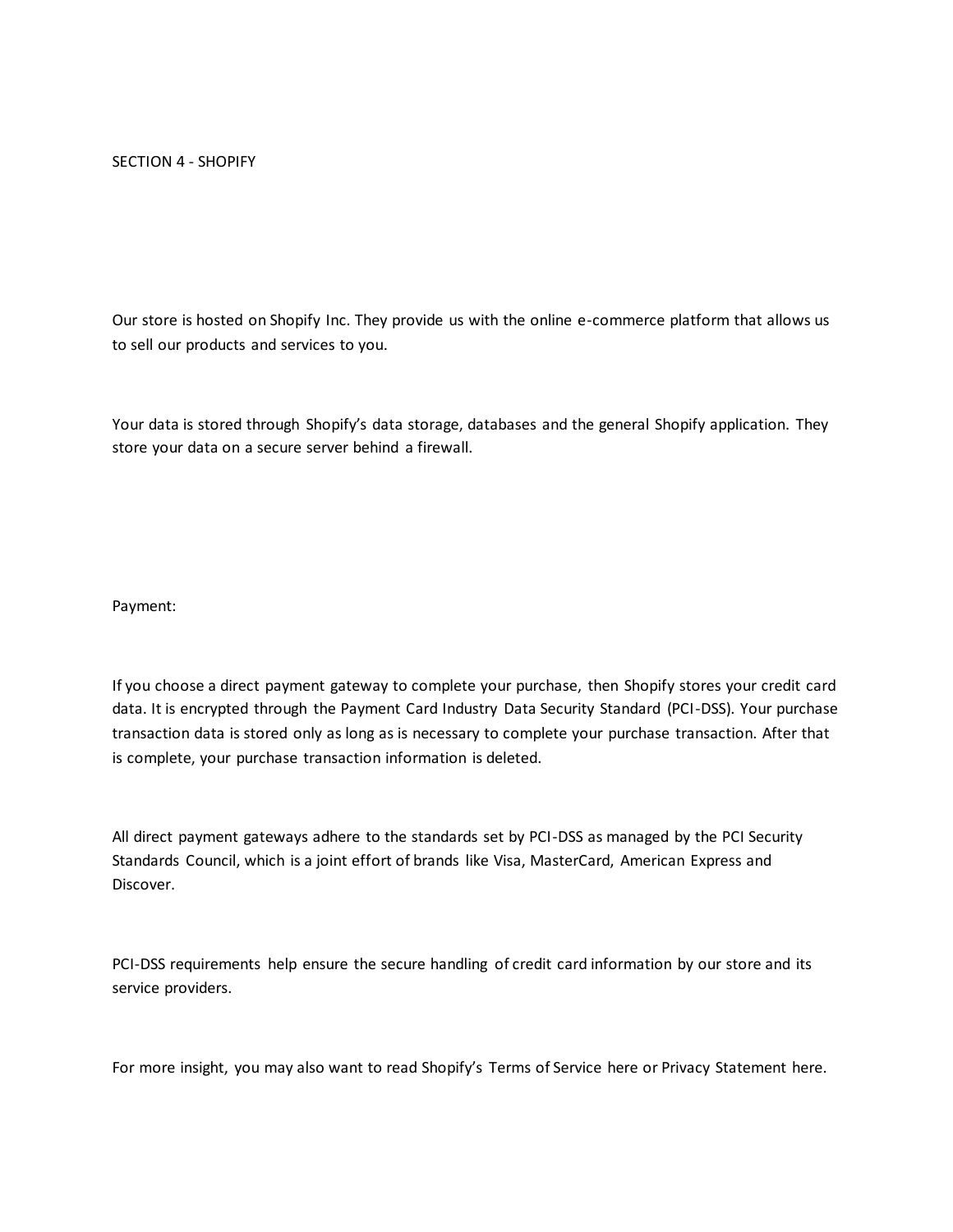Our store is hosted on Shopify Inc. They provide us with the online e-commerce platform that allows us to sell our products and services to you.

Your data is stored through Shopify's data storage, databases and the general Shopify application. They store your data on a secure server behind a firewall.

Payment:

If you choose a direct payment gateway to complete your purchase, then Shopify stores your credit card data. It is encrypted through the Payment Card Industry Data Security Standard (PCI-DSS). Your purchase transaction data is stored only as long as is necessary to complete your purchase transaction. After that is complete, your purchase transaction information is deleted.

All direct payment gateways adhere to the standards set by PCI-DSS as managed by the PCI Security Standards Council, which is a joint effort of brands like Visa, MasterCard, American Express and Discover.

PCI-DSS requirements help ensure the secure handling of credit card information by our store and its service providers.

For more insight, you may also want to read Shopify's Terms of Service here or Privacy Statement here.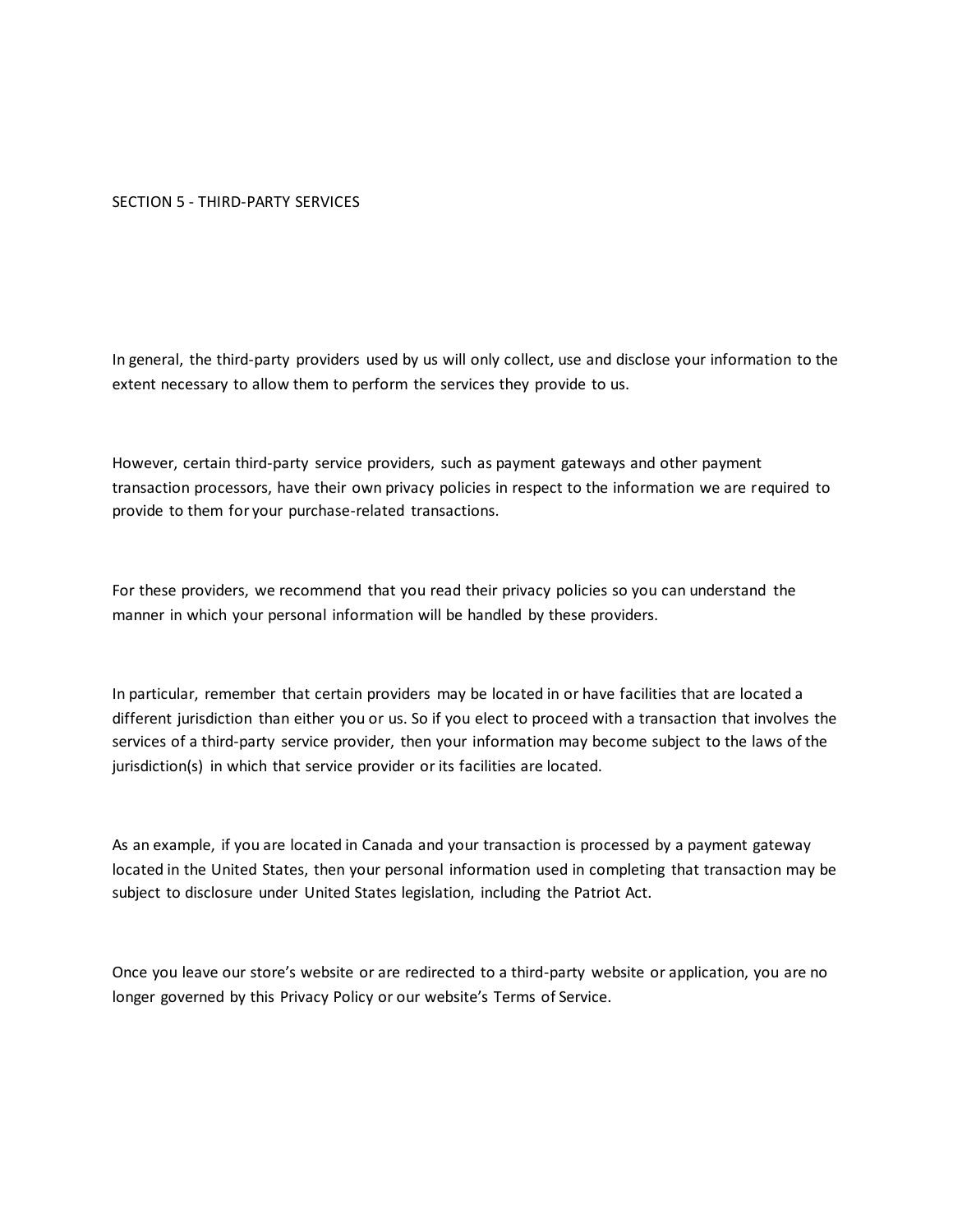## SECTION 5 - THIRD-PARTY SERVICES

In general, the third-party providers used by us will only collect, use and disclose your information to the extent necessary to allow them to perform the services they provide to us.

However, certain third-party service providers, such as payment gateways and other payment transaction processors, have their own privacy policies in respect to the information we are required to provide to them for your purchase-related transactions.

For these providers, we recommend that you read their privacy policies so you can understand the manner in which your personal information will be handled by these providers.

In particular, remember that certain providers may be located in or have facilities that are located a different jurisdiction than either you or us. So if you elect to proceed with a transaction that involves the services of a third-party service provider, then your information may become subject to the laws of the jurisdiction(s) in which that service provider or its facilities are located.

As an example, if you are located in Canada and your transaction is processed by a payment gateway located in the United States, then your personal information used in completing that transaction may be subject to disclosure under United States legislation, including the Patriot Act.

Once you leave our store's website or are redirected to a third-party website or application, you are no longer governed by this Privacy Policy or our website's Terms of Service.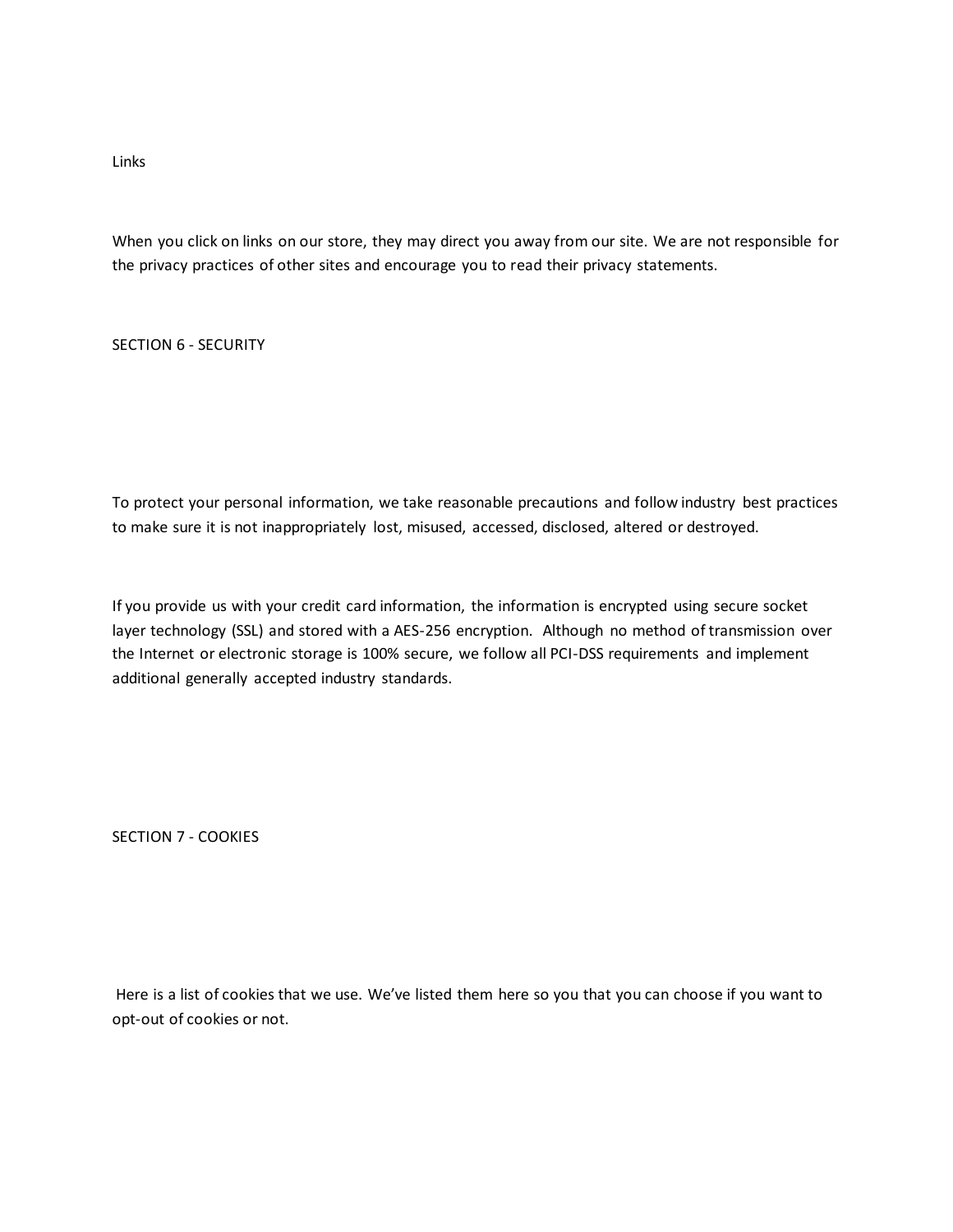Links

When you click on links on our store, they may direct you away from our site. We are not responsible for the privacy practices of other sites and encourage you to read their privacy statements.

SECTION 6 - SECURITY

To protect your personal information, we take reasonable precautions and follow industry best practices to make sure it is not inappropriately lost, misused, accessed, disclosed, altered or destroyed.

If you provide us with your credit card information, the information is encrypted using secure socket layer technology (SSL) and stored with a AES-256 encryption. Although no method of transmission over the Internet or electronic storage is 100% secure, we follow all PCI-DSS requirements and implement additional generally accepted industry standards.

SECTION 7 - COOKIES

Here is a list of cookies that we use. We've listed them here so you that you can choose if you want to opt-out of cookies or not.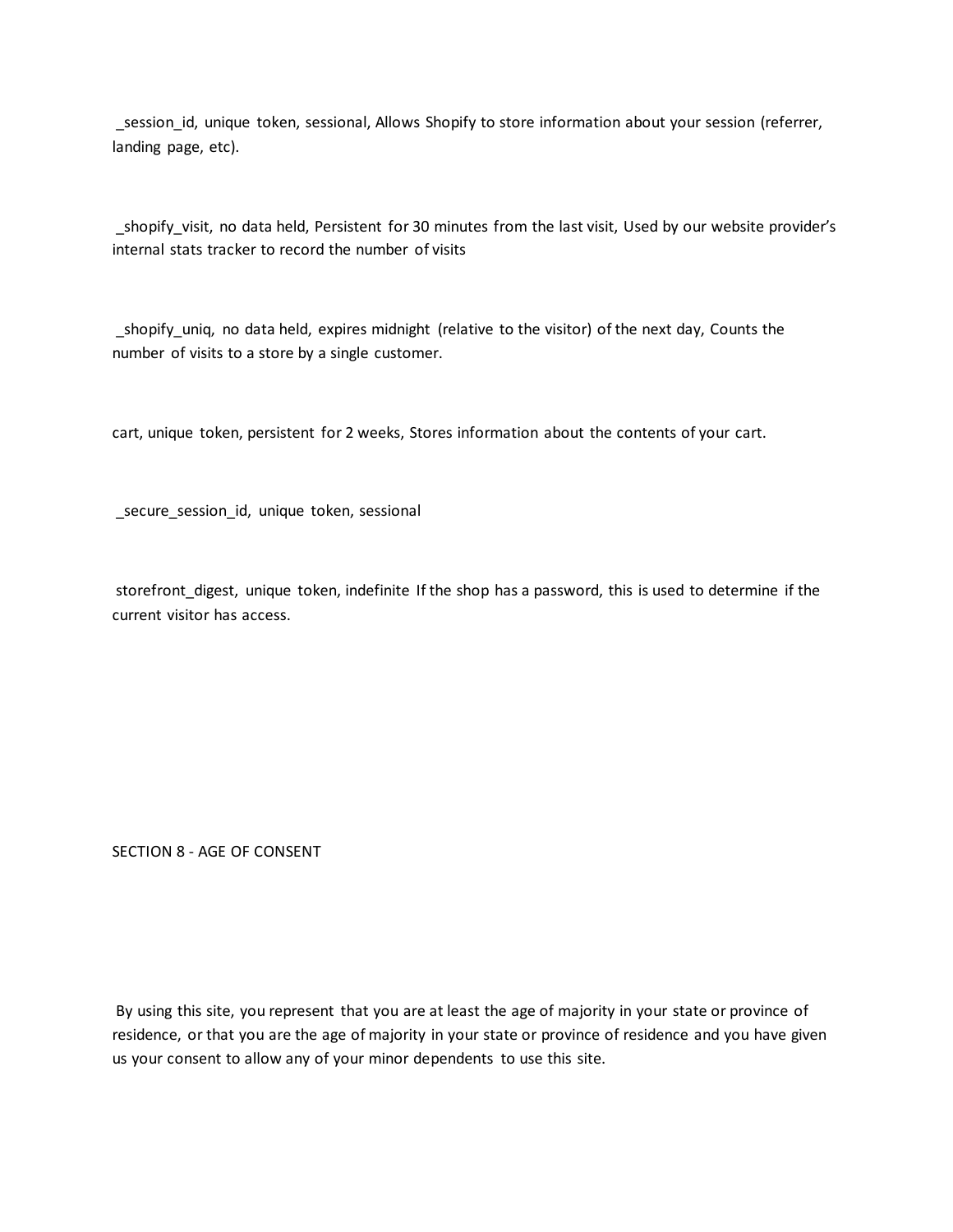\_session\_id, unique token, sessional, Allows Shopify to store information about your session (referrer, landing page, etc).

\_shopify\_visit, no data held, Persistent for 30 minutes from the last visit, Used by our website provider's internal stats tracker to record the number of visits

\_shopify\_uniq, no data held, expires midnight (relative to the visitor) of the next day, Counts the number of visits to a store by a single customer.

cart, unique token, persistent for 2 weeks, Stores information about the contents of your cart.

\_secure\_session\_id, unique token, sessional

storefront\_digest, unique token, indefinite If the shop has a password, this is used to determine if the current visitor has access.

SECTION 8 - AGE OF CONSENT

By using this site, you represent that you are at least the age of majority in your state or province of residence, or that you are the age of majority in your state or province of residence and you have given us your consent to allow any of your minor dependents to use this site.